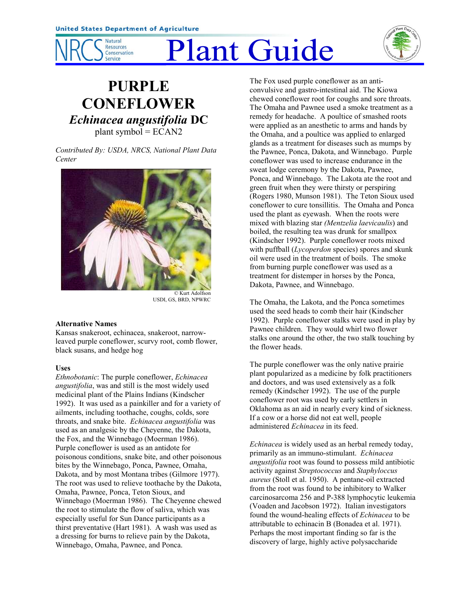

# Plant Guide



# **PURPLE CONEFLOWER** *Echinacea angustifolia* **DC** plant symbol  $=$  ECAN2

*Contributed By: USDA, NRCS, National Plant Data Center*



© Kurt Adolfson USDI, GS, BRD, NPWRC

#### **Alternative Names**

Kansas snakeroot, echinacea, snakeroot, narrowleaved purple coneflower, scurvy root, comb flower, black susans, and hedge hog

# **Uses**

*Ethnobotanic*: The purple coneflower, *Echinacea angustifolia*, was and still is the most widely used medicinal plant of the Plains Indians (Kindscher 1992). It was used as a painkiller and for a variety of ailments, including toothache, coughs, colds, sore throats, and snake bite. *Echinacea angustifolia* was used as an analgesic by the Cheyenne, the Dakota, the Fox, and the Winnebago (Moerman 1986). Purple coneflower is used as an antidote for poisonous conditions, snake bite, and other poisonous bites by the Winnebago, Ponca, Pawnee, Omaha, Dakota, and by most Montana tribes (Gilmore 1977). The root was used to relieve toothache by the Dakota, Omaha, Pawnee, Ponca, Teton Sioux, and Winnebago (Moerman 1986). The Cheyenne chewed the root to stimulate the flow of saliva, which was especially useful for Sun Dance participants as a thirst preventative (Hart 1981). A wash was used as a dressing for burns to relieve pain by the Dakota, Winnebago, Omaha, Pawnee, and Ponca.

The Fox used purple coneflower as an anticonvulsive and gastro-intestinal aid. The Kiowa chewed coneflower root for coughs and sore throats. The Omaha and Pawnee used a smoke treatment as a remedy for headache. A poultice of smashed roots were applied as an anesthetic to arms and hands by the Omaha, and a poultice was applied to enlarged glands as a treatment for diseases such as mumps by the Pawnee, Ponca, Dakota, and Winnebago. Purple coneflower was used to increase endurance in the sweat lodge ceremony by the Dakota, Pawnee, Ponca, and Winnebago. The Lakota ate the root and green fruit when they were thirsty or perspiring (Rogers 1980, Munson 1981). The Teton Sioux used coneflower to cure tonsillitis. The Omaha and Ponca used the plant as eyewash. When the roots were mixed with blazing star *(Mentzelia laevicaulis*) and boiled, the resulting tea was drunk for smallpox (Kindscher 1992). Purple coneflower roots mixed with puffball (*Lycoperdon* species) spores and skunk oil were used in the treatment of boils. The smoke from burning purple coneflower was used as a treatment for distemper in horses by the Ponca, Dakota, Pawnee, and Winnebago.

The Omaha, the Lakota, and the Ponca sometimes used the seed heads to comb their hair (Kindscher 1992). Purple coneflower stalks were used in play by Pawnee children. They would whirl two flower stalks one around the other, the two stalk touching by the flower heads.

The purple coneflower was the only native prairie plant popularized as a medicine by folk practitioners and doctors, and was used extensively as a folk remedy (Kindscher 1992). The use of the purple coneflower root was used by early settlers in Oklahoma as an aid in nearly every kind of sickness. If a cow or a horse did not eat well, people administered *Echinacea* in its feed.

*Echinacea* is widely used as an herbal remedy today, primarily as an immuno-stimulant. *Echinacea angustifolia* root was found to possess mild antibiotic activity against *Streptococcus* and *Staphyloccus aureus* (Stoll et al. 1950). A pentane-oil extracted from the root was found to be inhibitory to Walker carcinosarcoma 256 and P-388 lymphocytic leukemia (Voaden and Jacobson 1972). Italian investigators found the wound-healing effects of *Echinacea* to be attributable to echinacin B (Bonadea et al. 1971). Perhaps the most important finding so far is the discovery of large, highly active polysaccharide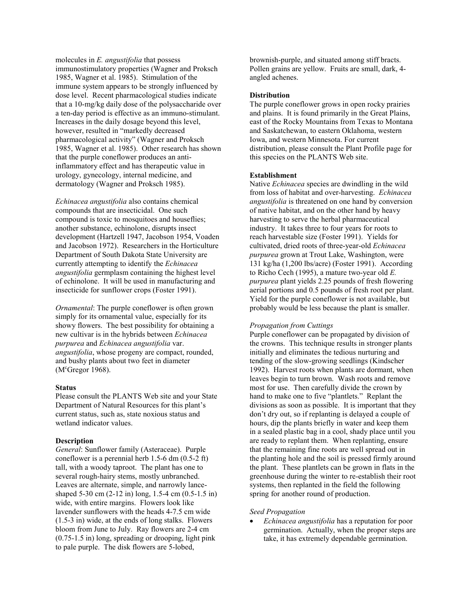molecules in *E. angustifolia* that possess immunostimulatory properties (Wagner and Proksch 1985, Wagner et al. 1985). Stimulation of the immune system appears to be strongly influenced by dose level. Recent pharmacological studies indicate that a 10-mg/kg daily dose of the polysaccharide over a ten-day period is effective as an immuno-stimulant. Increases in the daily dosage beyond this level, however, resulted in "markedly decreased pharmacological activity" (Wagner and Proksch 1985, Wagner et al. 1985). Other research has shown that the purple coneflower produces an antiinflammatory effect and has therapeutic value in urology, gynecology, internal medicine, and dermatology (Wagner and Proksch 1985).

*Echinacea angustifolia* also contains chemical compounds that are insecticidal. One such compound is toxic to mosquitoes and houseflies; another substance, echinolone, disrupts insect development (Hartzell 1947, Jacobson 1954, Voaden and Jacobson 1972). Researchers in the Horticulture Department of South Dakota State University are currently attempting to identify the *Echinacea angustifolia* germplasm containing the highest level of echinolone. It will be used in manufacturing and insecticide for sunflower crops (Foster 1991).

*Ornamental*: The purple coneflower is often grown simply for its ornamental value, especially for its showy flowers. The best possibility for obtaining a new cultivar is in the hybrids between *Echinacea purpurea* and *Echinacea angustifolia* var. *angustifolia*, whose progeny are compact, rounded, and bushy plants about two feet in diameter (M<sup>c</sup>Gregor 1968).

#### **Status**

Please consult the PLANTS Web site and your State Department of Natural Resources for this plant's current status, such as, state noxious status and wetland indicator values.

#### **Description**

*General*: Sunflower family (Asteraceae). Purple coneflower is a perennial herb 1.5-6 dm (0.5-2 ft) tall, with a woody taproot. The plant has one to several rough-hairy stems, mostly unbranched. Leaves are alternate, simple, and narrowly lanceshaped 5-30 cm (2-12 in) long, 1.5-4 cm (0.5-1.5 in) wide, with entire margins. Flowers look like lavender sunflowers with the heads 4-7.5 cm wide (1.5-3 in) wide, at the ends of long stalks. Flowers bloom from June to July. Ray flowers are 2-4 cm (0.75-1.5 in) long, spreading or drooping, light pink to pale purple. The disk flowers are 5-lobed,

brownish-purple, and situated among stiff bracts. Pollen grains are yellow. Fruits are small, dark, 4 angled achenes.

#### **Distribution**

The purple coneflower grows in open rocky prairies and plains. It is found primarily in the Great Plains, east of the Rocky Mountains from Texas to Montana and Saskatchewan, to eastern Oklahoma, western Iowa, and western Minnesota. For current distribution, please consult the Plant Profile page for this species on the PLANTS Web site.

#### **Establishment**

Native *Echinacea* species are dwindling in the wild from loss of habitat and over-harvesting. *Echinacea angustifolia* is threatened on one hand by conversion of native habitat, and on the other hand by heavy harvesting to serve the herbal pharmaceutical industry. It takes three to four years for roots to reach harvestable size (Foster 1991). Yields for cultivated, dried roots of three-year-old *Echinacea purpurea* grown at Trout Lake, Washington, were 131 kg/ha (1,200 lbs/acre) (Foster 1991). According to Richo Cech (1995), a mature two-year old *E. purpurea* plant yields 2.25 pounds of fresh flowering aerial portions and 0.5 pounds of fresh root per plant. Yield for the purple coneflower is not available, but probably would be less because the plant is smaller.

### *Propagation from Cuttings*

Purple coneflower can be propagated by division of the crowns. This technique results in stronger plants initially and eliminates the tedious nurturing and tending of the slow-growing seedlings (Kindscher 1992). Harvest roots when plants are dormant, when leaves begin to turn brown. Wash roots and remove most for use. Then carefully divide the crown by hand to make one to five "plantlets." Replant the divisions as soon as possible. It is important that they don't dry out, so if replanting is delayed a couple of hours, dip the plants briefly in water and keep them in a sealed plastic bag in a cool, shady place until you are ready to replant them. When replanting, ensure that the remaining fine roots are well spread out in the planting hole and the soil is pressed firmly around the plant. These plantlets can be grown in flats in the greenhouse during the winter to re-establish their root systems, then replanted in the field the following spring for another round of production.

#### *Seed Propagation*

• *Echinacea angustifolia* has a reputation for poor germination. Actually, when the proper steps are take, it has extremely dependable germination.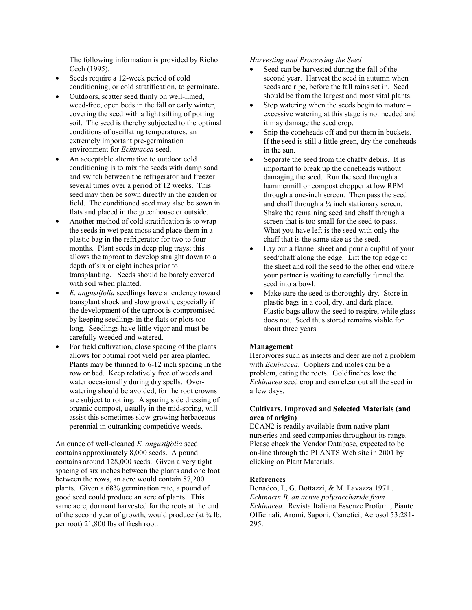The following information is provided by Richo Cech (1995).

- Seeds require a 12-week period of cold conditioning, or cold stratification, to germinate.
- Outdoors, scatter seed thinly on well-limed, weed-free, open beds in the fall or early winter, covering the seed with a light sifting of potting soil. The seed is thereby subjected to the optimal conditions of oscillating temperatures, an extremely important pre-germination environment for *Echinacea* seed.
- An acceptable alternative to outdoor cold conditioning is to mix the seeds with damp sand and switch between the refrigerator and freezer several times over a period of 12 weeks. This seed may then be sown directly in the garden or field. The conditioned seed may also be sown in flats and placed in the greenhouse or outside.
- Another method of cold stratification is to wrap the seeds in wet peat moss and place them in a plastic bag in the refrigerator for two to four months. Plant seeds in deep plug trays; this allows the taproot to develop straight down to a depth of six or eight inches prior to transplanting. Seeds should be barely covered with soil when planted.
- *E. angustifolia* seedlings have a tendency toward transplant shock and slow growth, especially if the development of the taproot is compromised by keeping seedlings in the flats or plots too long. Seedlings have little vigor and must be carefully weeded and watered.
- For field cultivation, close spacing of the plants allows for optimal root yield per area planted. Plants may be thinned to 6-12 inch spacing in the row or bed. Keep relatively free of weeds and water occasionally during dry spells. Overwatering should be avoided, for the root crowns are subject to rotting. A sparing side dressing of organic compost, usually in the mid-spring, will assist this sometimes slow-growing herbaceous perennial in outranking competitive weeds.

An ounce of well-cleaned *E. angustifolia* seed contains approximately 8,000 seeds. A pound contains around 128,000 seeds. Given a very tight spacing of six inches between the plants and one foot between the rows, an acre would contain 87,200 plants. Given a 68% germination rate, a pound of good seed could produce an acre of plants. This same acre, dormant harvested for the roots at the end of the second year of growth, would produce (at  $\frac{1}{4}$  lb. per root) 21,800 lbs of fresh root.

# *Harvesting and Processing the Seed*

- Seed can be harvested during the fall of the second year. Harvest the seed in autumn when seeds are ripe, before the fall rains set in. Seed should be from the largest and most vital plants.
- Stop watering when the seeds begin to mature  $$ excessive watering at this stage is not needed and it may damage the seed crop.
- Snip the coneheads off and put them in buckets. If the seed is still a little green, dry the coneheads in the sun.
- Separate the seed from the chaffy debris. It is important to break up the coneheads without damaging the seed. Run the seed through a hammermill or compost chopper at low RPM through a one-inch screen. Then pass the seed and chaff through a  $\frac{1}{4}$  inch stationary screen. Shake the remaining seed and chaff through a screen that is too small for the seed to pass. What you have left is the seed with only the chaff that is the same size as the seed.
- Lay out a flannel sheet and pour a cupful of your seed/chaff along the edge. Lift the top edge of the sheet and roll the seed to the other end where your partner is waiting to carefully funnel the seed into a bowl.
- Make sure the seed is thoroughly dry. Store in plastic bags in a cool, dry, and dark place. Plastic bags allow the seed to respire, while glass does not. Seed thus stored remains viable for about three years.

#### **Management**

Herbivores such as insects and deer are not a problem with *Echinacea*. Gophers and moles can be a problem, eating the roots. Goldfinches love the *Echinacea* seed crop and can clear out all the seed in a few days.

# **Cultivars, Improved and Selected Materials (and area of origin)**

ECAN2 is readily available from native plant nurseries and seed companies throughout its range. Please check the Vendor Database, expected to be on-line through the PLANTS Web site in 2001 by clicking on Plant Materials.

#### **References**

Bonadeo, I., G. Bottazzi, & M. Lavazza 1971 *. Echinacin B, an active polysaccharide from Echinacea.* Revista Italiana Essenze Profumi, Piante Officinali, Aromi, Saponi, Csmetici, Aerosol 53:281- 295.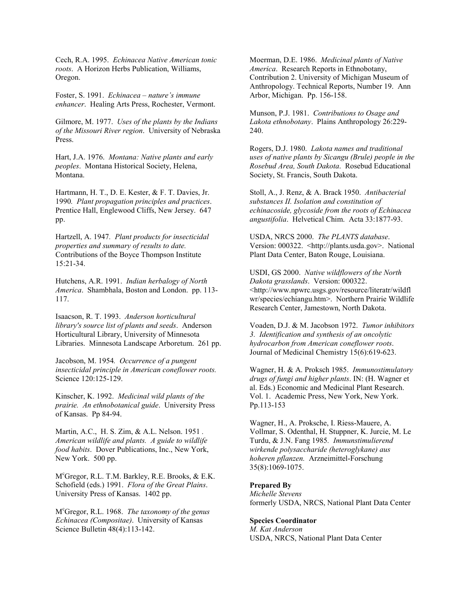Cech, R.A. 1995. *Echinacea Native American tonic roots*. A Horizon Herbs Publication, Williams, Oregon.

Foster, S. 1991. *Echinacea – nature's immune enhancer*. Healing Arts Press, Rochester, Vermont.

Gilmore, M. 1977. *Uses of the plants by the Indians of the Missouri River region*. University of Nebraska Press.

Hart, J.A. 1976. *Montana: Native plants and early peoples*. Montana Historical Society, Helena, Montana.

Hartmann, H. T., D. E. Kester, & F. T. Davies, Jr. 1990*. Plant propagation principles and practices*. Prentice Hall, Englewood Cliffs, New Jersey. 647 pp.

Hartzell, A. 1947*. Plant products for insecticidal properties and summary of results to date.* Contributions of the Boyce Thompson Institute 15:21-34.

Hutchens, A.R. 1991. *Indian herbalogy of North America*. Shambhala, Boston and London. pp. 113- 117.

Isaacson, R. T. 1993. *Anderson horticultural library's source list of plants and seeds*. Anderson Horticultural Library, University of Minnesota Libraries. Minnesota Landscape Arboretum. 261 pp.

Jacobson, M. 1954*. Occurrence of a pungent insecticidal principle in American coneflower roots.* Science 120:125-129.

Kinscher, K. 1992. *Medicinal wild plants of the prairie. An ethnobotanical guide*. University Press of Kansas. Pp 84-94.

Martin, A.C., H. S. Zim, & A.L. Nelson. 1951 *. American wildlife and plants. A guide to wildlife food habits*. Dover Publications, Inc., New York, New York. 500 pp.

M<sup>c</sup>Gregor, R.L. T.M. Barkley, R.E. Brooks, & E.K. Schofield (eds.) 1991. *Flora of the Great Plains*. University Press of Kansas. 1402 pp.

M<sup>c</sup> Gregor, R.L. 1968. *The taxonomy of the genus Echinacea (Compositae)*. University of Kansas Science Bulletin 48(4):113-142.

Moerman, D.E. 1986. *Medicinal plants of Native America*. Research Reports in Ethnobotany, Contribution 2. University of Michigan Museum of Anthropology. Technical Reports, Number 19. Ann Arbor, Michigan. Pp. 156-158.

Munson, P.J. 1981. *Contributions to Osage and Lakota ethnobotany*. Plains Anthropology 26:229- 240.

Rogers, D.J. 1980. *Lakota names and traditional uses of native plants by Sicangu (Brule) people in the Rosebud Area, South Dakota*. Rosebud Educational Society, St. Francis, South Dakota.

Stoll, A., J. Renz, & A. Brack 1950. *Antibacterial substances II. Isolation and constitution of echinacoside, glycoside from the roots of Echinacea angustifolia*. Helvetical Chim. Acta 33:1877-93.

USDA, NRCS 2000. *The PLANTS database*. Version: 000322. <http://plants.usda.gov>. National Plant Data Center, Baton Rouge, Louisiana.

USDI, GS 2000. *Native wildflowers of the North Dakota grasslands*. Version: 000322. <http://www.npwrc.usgs.gov/resource/literatr/wildfl wr/species/echiangu.htm>. Northern Prairie Wildlife Research Center, Jamestown, North Dakota.

Voaden, D.J. & M. Jacobson 1972. *Tumor inhibitors 3. Identification and synthesis of an oncolytic hydrocarbon from American coneflower roots*. Journal of Medicinal Chemistry 15(6):619-623.

Wagner, H. & A. Proksch 1985. *Immunostimulatory drugs of fungi and higher plants*. IN: (H. Wagner et al. Eds.) Economic and Medicinal Plant Research. Vol. 1. Academic Press, New York, New York. Pp.113-153

Wagner, H., A. Proksche, I. Riess-Mauere, A. Vollmar, S. Odenthal, H. Stuppner, K. Jurcie, M. Le Turdu, & J.N. Fang 1985*. Immunstimulierend wirkende polysaccharide (heteroglykane) aus hoheren pflanzen.* Arzneimittel-Forschung 35(8):1069-1075.

#### **Prepared By**

*Michelle Stevens* formerly USDA, NRCS, National Plant Data Center

# **Species Coordinator**

*M. Kat Anderson* USDA, NRCS, National Plant Data Center